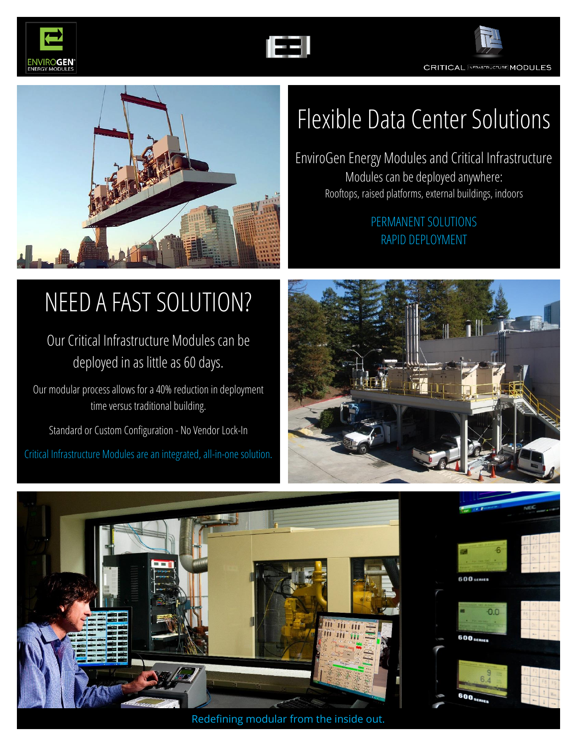



**CRITICAL INFRASTRUCTURE MODULES** 



### Flexible Data Center Solutions

EnviroGen Energy Modules and Critical Infrastructure Modules can be deployed anywhere: Rooftops, raised platforms, external buildings, indoors

#### PERMANENT SOLUTIONS RAPID DEPLOYMENT

# NEED A FAST SOLUTION?

### Our Critical Infrastructure Modules can be deployed in as little as 60 days.

Our modular process allows for a 40% reduction in deployment time versus traditional building.

Standard or Custom Configuration - No Vendor Lock-In Critical Infrastructure Modules are an integrated, all-in-one solution.





Redefining modular from the inside out.